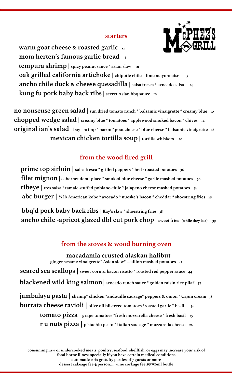## **starters**



 **warm goat cheese & roasted garlic 12 mom herten's famous garlic bread 8 tempura shrimp** spicy peanut sauce \* asian slaw 21  **oak grilled california artichoke | chipotle chile – lime mayonnaise 15 ancho chile duck & cheese quesadilla | salsa fresca \* avocado salsa 14 kung fu pork baby back ribs| secret Asian bbq sauce 18**

**no nonsense green salad | sun dried tomato ranch \* balsamic vinaigrette \* creamy blue 10 chopped wedge salad | creamy blue \* tomatoes \* applewood smoked bacon \* chives 14 original ian's salad | bay shrimp \* bacon \* goat cheese \* blue cheese \* balsamic vinaigrette <sup>16</sup> mexican chicken tortilla soup** | tortilla whiskers 10

# **from the wood fired grill**

**prime top sirloin** salsa fresca \* grilled peppers \* herb roasted potatoes 36 **filet mignon**  $|$  cabernet demi-glace \* smoked blue cheese \* garlic mashed potatoes 50  **ribeye | tres salsa \* tamale stuffed poblano chile \* jalapeno cheese mashed potatoes 54 abc burger | ½ lb American kobe \* avocado \* nueske's bacon \* cheddar \* shoestring fries 28**

 **bbq'd pork baby back ribs | Kay's slaw \* shoestring fries 38 ancho chile -apricot glazed dbl cut pork chop | sweet fries (while they last) 39**

# **from the stoves & wood burning oven**

 **macadamia crusted alaskan halibut ginger sesame vinaigrette\* Asian slaw\* scallion mashed potatoes 42 seared sea scallops | sweet corn & bacon risotto \* roasted red pepper sauce 44 blackened wild king salmon| avocado ranch sauce \* golden raisin rice pilaf 37 jambalaya pasta | shrimp\* chicken \*andouille sausage\* peppers & onion \* Cajun cream 38 burrata cheese ravioli** | olive oil blistered tomatoes \*roasted garlic \* basil 36 **tomato pizza | grape tomatoes \*fresh mozzarella cheese \* fresh basil 25 r u nuts pizza | pistachio pesto \* Italian sausage \* mozzarella cheese 26**

**consuming raw or undercooked meats, poultry, seafood, shellfish, or eggs may increase your risk of food borne illness specially if you have certain medical conditions automatic 20% gratuity parties of 7 guests or more dessert cakeage fee 5/person…. wine corkage fee 25/750ml bottle**